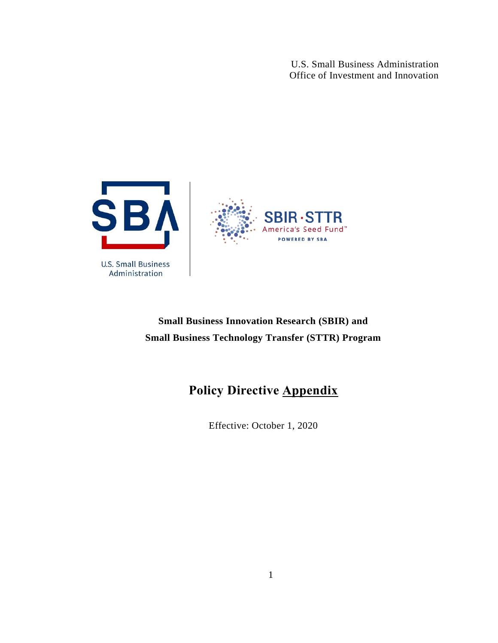U.S. Small Business Administration Office of Investment and Innovation



### **Small Business Innovation Research (SBIR) and Small Business Technology Transfer (STTR) Program**

## **Policy Directive Appendix**

Effective: October 1, 2020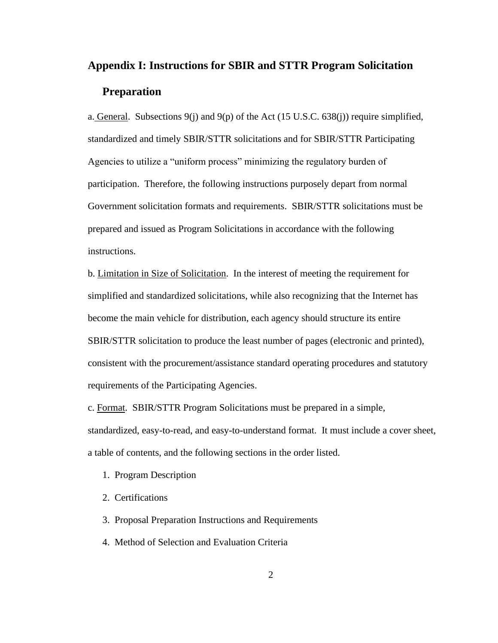# **Appendix I: Instructions for SBIR and STTR Program Solicitation Preparation**

a. General. Subsections  $9(i)$  and  $9(p)$  of the Act (15 U.S.C. 638(j)) require simplified, standardized and timely SBIR/STTR solicitations and for SBIR/STTR Participating Agencies to utilize a "uniform process" minimizing the regulatory burden of participation. Therefore, the following instructions purposely depart from normal Government solicitation formats and requirements. SBIR/STTR solicitations must be prepared and issued as Program Solicitations in accordance with the following instructions.

b. Limitation in Size of Solicitation. In the interest of meeting the requirement for simplified and standardized solicitations, while also recognizing that the Internet has become the main vehicle for distribution, each agency should structure its entire SBIR/STTR solicitation to produce the least number of pages (electronic and printed), consistent with the procurement/assistance standard operating procedures and statutory requirements of the Participating Agencies.

c. Format. SBIR/STTR Program Solicitations must be prepared in a simple, standardized, easy-to-read, and easy-to-understand format. It must include a cover sheet, a table of contents, and the following sections in the order listed.

- 1. Program Description
- 2. Certifications
- 3. Proposal Preparation Instructions and Requirements
- 4. Method of Selection and Evaluation Criteria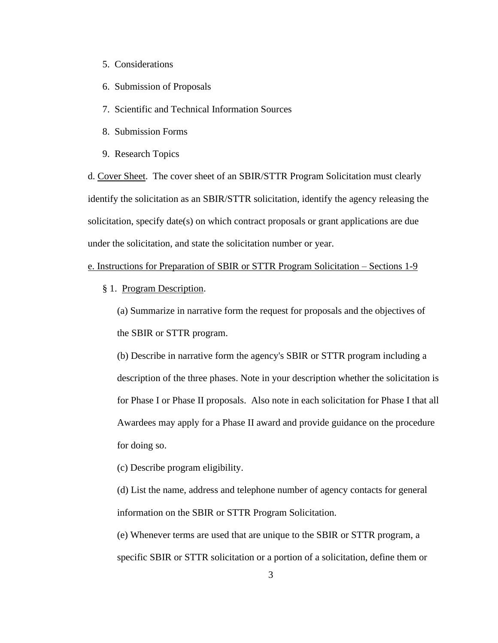- 5. Considerations
- 6. Submission of Proposals
- 7. Scientific and Technical Information Sources
- 8. Submission Forms
- 9. Research Topics

d. Cover Sheet. The cover sheet of an SBIR/STTR Program Solicitation must clearly identify the solicitation as an SBIR/STTR solicitation, identify the agency releasing the solicitation, specify date(s) on which contract proposals or grant applications are due under the solicitation, and state the solicitation number or year.

e. Instructions for Preparation of SBIR or STTR Program Solicitation – Sections 1-9

§ 1. Program Description.

(a) Summarize in narrative form the request for proposals and the objectives of the SBIR or STTR program.

(b) Describe in narrative form the agency's SBIR or STTR program including a description of the three phases. Note in your description whether the solicitation is for Phase I or Phase II proposals. Also note in each solicitation for Phase I that all Awardees may apply for a Phase II award and provide guidance on the procedure for doing so.

(c) Describe program eligibility.

(d) List the name, address and telephone number of agency contacts for general information on the SBIR or STTR Program Solicitation.

(e) Whenever terms are used that are unique to the SBIR or STTR program, a specific SBIR or STTR solicitation or a portion of a solicitation, define them or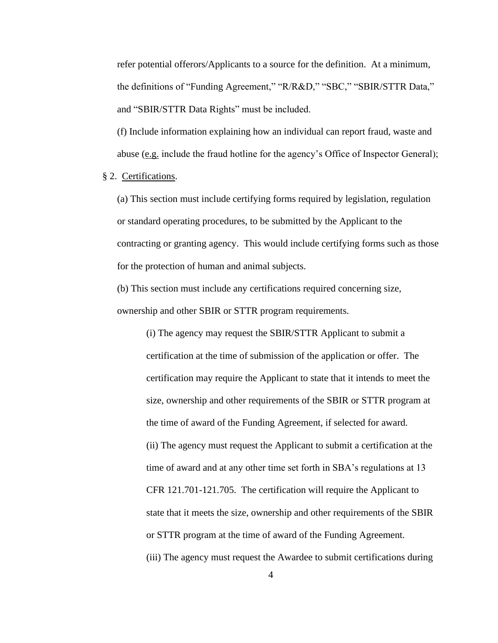refer potential offerors/Applicants to a source for the definition. At a minimum, the definitions of "Funding Agreement," "R/R&D," "SBC," "SBIR/STTR Data," and "SBIR/STTR Data Rights" must be included.

(f) Include information explaining how an individual can report fraud, waste and abuse (e.g. include the fraud hotline for the agency's Office of Inspector General);

§ 2. Certifications.

(a) This section must include certifying forms required by legislation, regulation or standard operating procedures, to be submitted by the Applicant to the contracting or granting agency. This would include certifying forms such as those for the protection of human and animal subjects.

(b) This section must include any certifications required concerning size, ownership and other SBIR or STTR program requirements.

> (i) The agency may request the SBIR/STTR Applicant to submit a certification at the time of submission of the application or offer. The certification may require the Applicant to state that it intends to meet the size, ownership and other requirements of the SBIR or STTR program at the time of award of the Funding Agreement, if selected for award. (ii) The agency must request the Applicant to submit a certification at the time of award and at any other time set forth in SBA's regulations at 13 CFR 121.701-121.705. The certification will require the Applicant to state that it meets the size, ownership and other requirements of the SBIR or STTR program at the time of award of the Funding Agreement. (iii) The agency must request the Awardee to submit certifications during

> > 4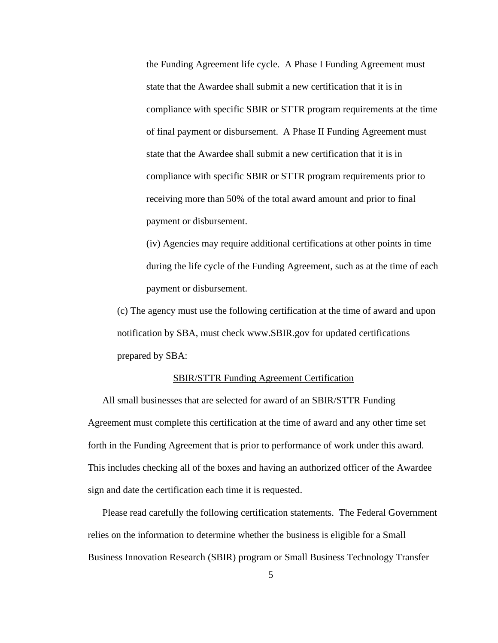the Funding Agreement life cycle. A Phase I Funding Agreement must state that the Awardee shall submit a new certification that it is in compliance with specific SBIR or STTR program requirements at the time of final payment or disbursement. A Phase II Funding Agreement must state that the Awardee shall submit a new certification that it is in compliance with specific SBIR or STTR program requirements prior to receiving more than 50% of the total award amount and prior to final payment or disbursement.

(iv) Agencies may require additional certifications at other points in time during the life cycle of the Funding Agreement, such as at the time of each payment or disbursement.

(c) The agency must use the following certification at the time of award and upon notification by SBA, must check www.SBIR.gov for updated certifications prepared by SBA:

#### SBIR/STTR Funding Agreement Certification

All small businesses that are selected for award of an SBIR/STTR Funding Agreement must complete this certification at the time of award and any other time set forth in the Funding Agreement that is prior to performance of work under this award. This includes checking all of the boxes and having an authorized officer of the Awardee sign and date the certification each time it is requested.

Please read carefully the following certification statements. The Federal Government relies on the information to determine whether the business is eligible for a Small Business Innovation Research (SBIR) program or Small Business Technology Transfer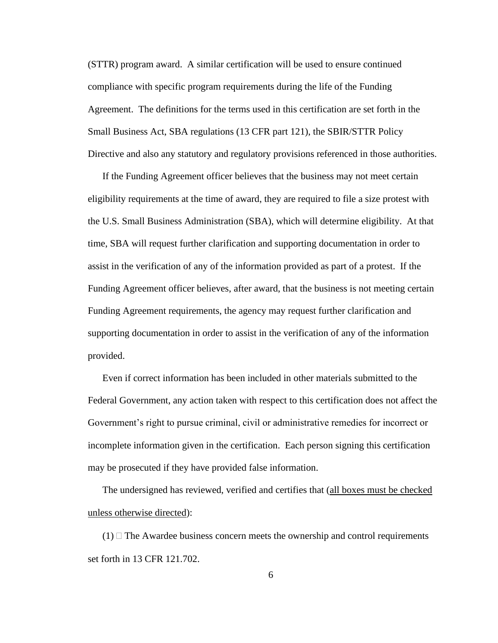(STTR) program award. A similar certification will be used to ensure continued compliance with specific program requirements during the life of the Funding Agreement. The definitions for the terms used in this certification are set forth in the Small Business Act, SBA regulations (13 CFR part 121), the SBIR/STTR Policy Directive and also any statutory and regulatory provisions referenced in those authorities.

If the Funding Agreement officer believes that the business may not meet certain eligibility requirements at the time of award, they are required to file a size protest with the U.S. Small Business Administration (SBA), which will determine eligibility. At that time, SBA will request further clarification and supporting documentation in order to assist in the verification of any of the information provided as part of a protest. If the Funding Agreement officer believes, after award, that the business is not meeting certain Funding Agreement requirements, the agency may request further clarification and supporting documentation in order to assist in the verification of any of the information provided.

Even if correct information has been included in other materials submitted to the Federal Government, any action taken with respect to this certification does not affect the Government's right to pursue criminal, civil or administrative remedies for incorrect or incomplete information given in the certification. Each person signing this certification may be prosecuted if they have provided false information.

The undersigned has reviewed, verified and certifies that (all boxes must be checked unless otherwise directed):

 $(1)$   $\Box$  The Awardee business concern meets the ownership and control requirements set forth in 13 CFR 121.702.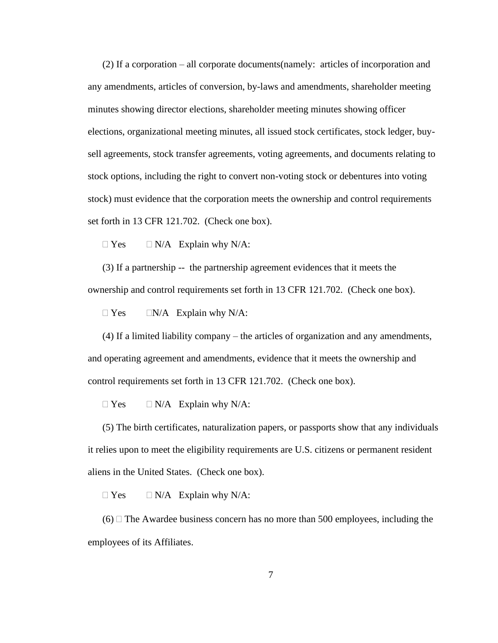(2) If a corporation – all corporate documents(namely: articles of incorporation and any amendments, articles of conversion, by-laws and amendments, shareholder meeting minutes showing director elections, shareholder meeting minutes showing officer elections, organizational meeting minutes, all issued stock certificates, stock ledger, buysell agreements, stock transfer agreements, voting agreements, and documents relating to stock options, including the right to convert non-voting stock or debentures into voting stock) must evidence that the corporation meets the ownership and control requirements set forth in 13 CFR 121.702. (Check one box).

 $\Box$  Yes  $\Box$  N/A Explain why N/A:

(3) If a partnership -- the partnership agreement evidences that it meets the ownership and control requirements set forth in 13 CFR 121.702. (Check one box).

 $\Box$  Yes  $\Box$  N/A Explain why N/A:

(4) If a limited liability company – the articles of organization and any amendments, and operating agreement and amendments, evidence that it meets the ownership and control requirements set forth in 13 CFR 121.702. (Check one box).

 $\Box$  Yes  $\Box$  N/A Explain why N/A:

(5) The birth certificates, naturalization papers, or passports show that any individuals it relies upon to meet the eligibility requirements are U.S. citizens or permanent resident aliens in the United States. (Check one box).

 $\Box$  Yes  $\Box$  N/A Explain why N/A:

 $(6)$  The Awardee business concern has no more than 500 employees, including the employees of its Affiliates.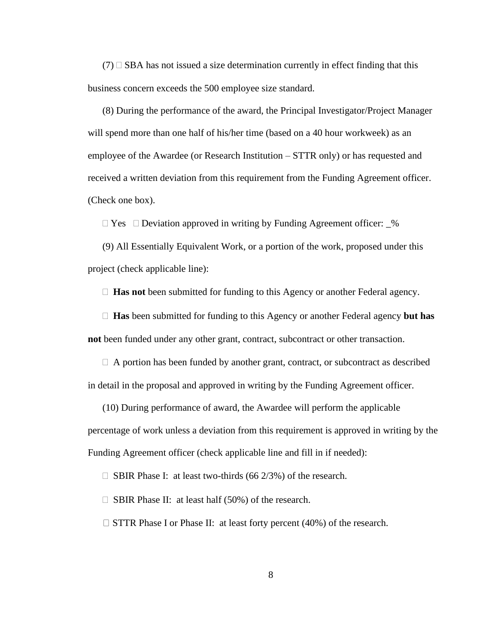$(7)$   $\square$  SBA has not issued a size determination currently in effect finding that this business concern exceeds the 500 employee size standard.

(8) During the performance of the award, the Principal Investigator/Project Manager will spend more than one half of his/her time (based on a 40 hour workweek) as an employee of the Awardee (or Research Institution – STTR only) or has requested and received a written deviation from this requirement from the Funding Agreement officer. (Check one box).

 $\Box$  Yes  $\Box$  Deviation approved in writing by Funding Agreement officer:  $\Box$ %

(9) All Essentially Equivalent Work, or a portion of the work, proposed under this project (check applicable line):

□ **Has not** been submitted for funding to this Agency or another Federal agency.

 **Has** been submitted for funding to this Agency or another Federal agency **but has not** been funded under any other grant, contract, subcontract or other transaction.

 $\Box$  A portion has been funded by another grant, contract, or subcontract as described in detail in the proposal and approved in writing by the Funding Agreement officer.

(10) During performance of award, the Awardee will perform the applicable percentage of work unless a deviation from this requirement is approved in writing by the Funding Agreement officer (check applicable line and fill in if needed):

 $\Box$  SBIR Phase I: at least two-thirds (66 2/3%) of the research.

 $\Box$  SBIR Phase II: at least half (50%) of the research.

 $\Box$  STTR Phase I or Phase II: at least forty percent (40%) of the research.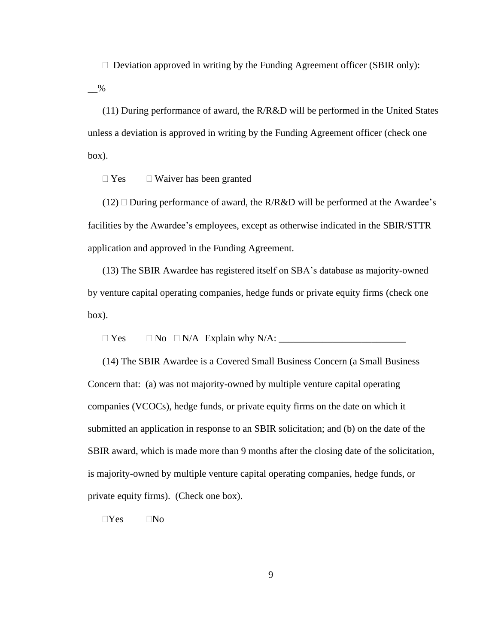$\Box$  Deviation approved in writing by the Funding Agreement officer (SBIR only):

 $\overline{\phantom{0}}^{06}$ 

(11) During performance of award, the R/R&D will be performed in the United States unless a deviation is approved in writing by the Funding Agreement officer (check one box).

 $\Box$  Yes  $\Box$  Waiver has been granted

 $(12)$  During performance of award, the R/R&D will be performed at the Awardee's facilities by the Awardee's employees, except as otherwise indicated in the SBIR/STTR application and approved in the Funding Agreement.

(13) The SBIR Awardee has registered itself on SBA's database as majority-owned by venture capital operating companies, hedge funds or private equity firms (check one box).

Yes No N/A Explain why N/A: \_\_\_\_\_\_\_\_\_\_\_\_\_\_\_\_\_\_\_\_\_\_\_\_\_\_

(14) The SBIR Awardee is a Covered Small Business Concern (a Small Business Concern that: (a) was not majority-owned by multiple venture capital operating companies (VCOCs), hedge funds, or private equity firms on the date on which it submitted an application in response to an SBIR solicitation; and (b) on the date of the SBIR award, which is made more than 9 months after the closing date of the solicitation, is majority-owned by multiple venture capital operating companies, hedge funds, or private equity firms). (Check one box).

 $\Box$ Yes  $\Box$ No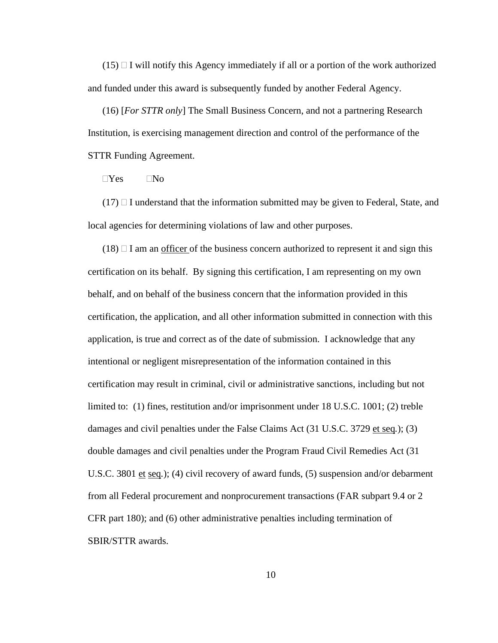$(15)$  I will notify this Agency immediately if all or a portion of the work authorized and funded under this award is subsequently funded by another Federal Agency.

(16) [*For STTR only*] The Small Business Concern, and not a partnering Research Institution, is exercising management direction and control of the performance of the STTR Funding Agreement.

 $\neg$ Yes  $\neg$ No

 $(17)$  I understand that the information submitted may be given to Federal, State, and local agencies for determining violations of law and other purposes.

 $(18)$   $\Box$  I am an <u>officer</u> of the business concern authorized to represent it and sign this certification on its behalf. By signing this certification, I am representing on my own behalf, and on behalf of the business concern that the information provided in this certification, the application, and all other information submitted in connection with this application, is true and correct as of the date of submission. I acknowledge that any intentional or negligent misrepresentation of the information contained in this certification may result in criminal, civil or administrative sanctions, including but not limited to: (1) fines, restitution and/or imprisonment under 18 U.S.C. 1001; (2) treble damages and civil penalties under the False Claims Act (31 U.S.C. 3729 et seq*.*); (3) double damages and civil penalties under the Program Fraud Civil Remedies Act (31 U.S.C. 3801 et seq.); (4) civil recovery of award funds, (5) suspension and/or debarment from all Federal procurement and nonprocurement transactions (FAR subpart 9.4 or 2 CFR part 180); and (6) other administrative penalties including termination of SBIR/STTR awards.

10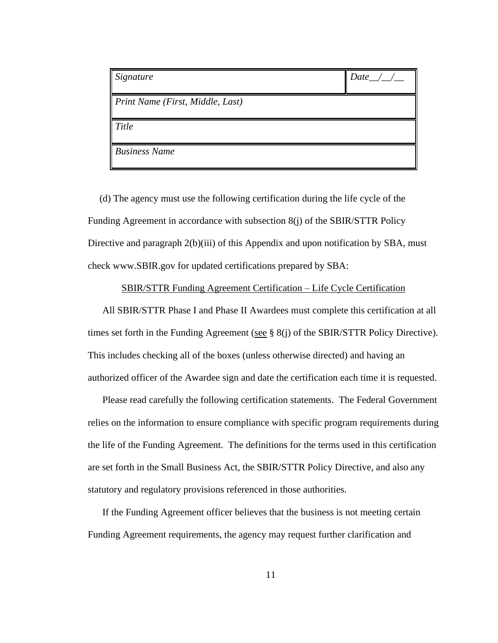| Signature                        | $Data$ / / |
|----------------------------------|------------|
| Print Name (First, Middle, Last) |            |
| Title                            |            |
| <b>Business Name</b>             |            |

(d) The agency must use the following certification during the life cycle of the Funding Agreement in accordance with subsection 8(j) of the SBIR/STTR Policy Directive and paragraph 2(b)(iii) of this Appendix and upon notification by SBA, must check www.SBIR.gov for updated certifications prepared by SBA:

#### SBIR/STTR Funding Agreement Certification – Life Cycle Certification

All SBIR/STTR Phase I and Phase II Awardees must complete this certification at all times set forth in the Funding Agreement (see  $\S$  8(j) of the SBIR/STTR Policy Directive). This includes checking all of the boxes (unless otherwise directed) and having an authorized officer of the Awardee sign and date the certification each time it is requested.

Please read carefully the following certification statements. The Federal Government relies on the information to ensure compliance with specific program requirements during the life of the Funding Agreement. The definitions for the terms used in this certification are set forth in the Small Business Act, the SBIR/STTR Policy Directive, and also any statutory and regulatory provisions referenced in those authorities.

If the Funding Agreement officer believes that the business is not meeting certain Funding Agreement requirements, the agency may request further clarification and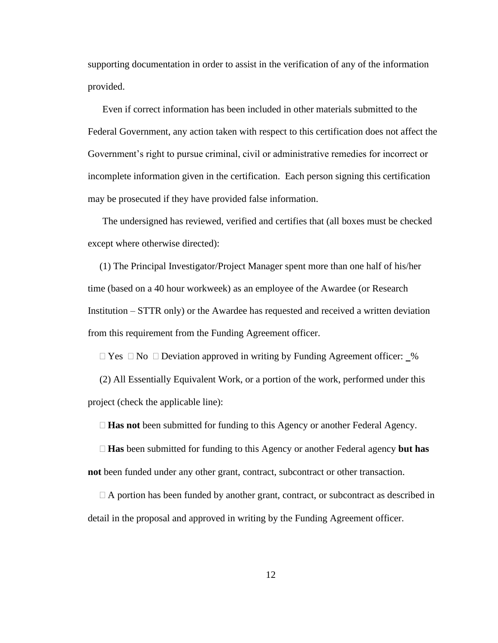supporting documentation in order to assist in the verification of any of the information provided.

Even if correct information has been included in other materials submitted to the Federal Government, any action taken with respect to this certification does not affect the Government's right to pursue criminal, civil or administrative remedies for incorrect or incomplete information given in the certification. Each person signing this certification may be prosecuted if they have provided false information.

The undersigned has reviewed, verified and certifies that (all boxes must be checked except where otherwise directed):

(1) The Principal Investigator/Project Manager spent more than one half of his/her time (based on a 40 hour workweek) as an employee of the Awardee (or Research Institution – STTR only) or the Awardee has requested and received a written deviation from this requirement from the Funding Agreement officer.

 $\Box$  Yes  $\Box$  No  $\Box$  Deviation approved in writing by Funding Agreement officer:  $\Box$ %

(2) All Essentially Equivalent Work, or a portion of the work, performed under this project (check the applicable line):

**Has not** been submitted for funding to this Agency or another Federal Agency.

 **Has** been submitted for funding to this Agency or another Federal agency **but has not** been funded under any other grant, contract, subcontract or other transaction.

 $\Box$  A portion has been funded by another grant, contract, or subcontract as described in detail in the proposal and approved in writing by the Funding Agreement officer.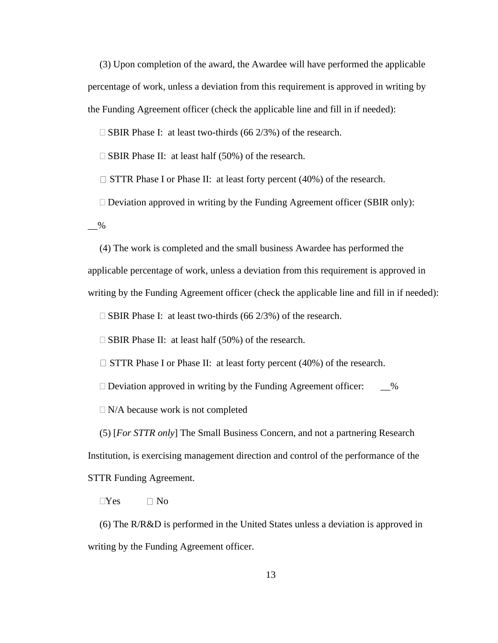(3) Upon completion of the award, the Awardee will have performed the applicable percentage of work, unless a deviation from this requirement is approved in writing by the Funding Agreement officer (check the applicable line and fill in if needed):

 $\Box$  SBIR Phase I: at least two-thirds (66 2/3%) of the research.

 $\square$  SBIR Phase II: at least half (50%) of the research.

 $\Box$  STTR Phase I or Phase II: at least forty percent (40%) of the research.

 $\Box$  Deviation approved in writing by the Funding Agreement officer (SBIR only):

 $\_\frac{9}{6}$ 

(4) The work is completed and the small business Awardee has performed the applicable percentage of work, unless a deviation from this requirement is approved in writing by the Funding Agreement officer (check the applicable line and fill in if needed):

 $\Box$  SBIR Phase I: at least two-thirds (66 2/3%) of the research.

 $\Box$  SBIR Phase II: at least half (50%) of the research.

 $\Box$  STTR Phase I or Phase II: at least forty percent (40%) of the research.

 $\Box$  Deviation approved in writing by the Funding Agreement officer:  $\Box$  %

 $\Box$  N/A because work is not completed

(5) [*For STTR only*] The Small Business Concern, and not a partnering Research Institution, is exercising management direction and control of the performance of the STTR Funding Agreement.

 $\neg$ Yes  $\neg$  No

(6) The R/R&D is performed in the United States unless a deviation is approved in writing by the Funding Agreement officer.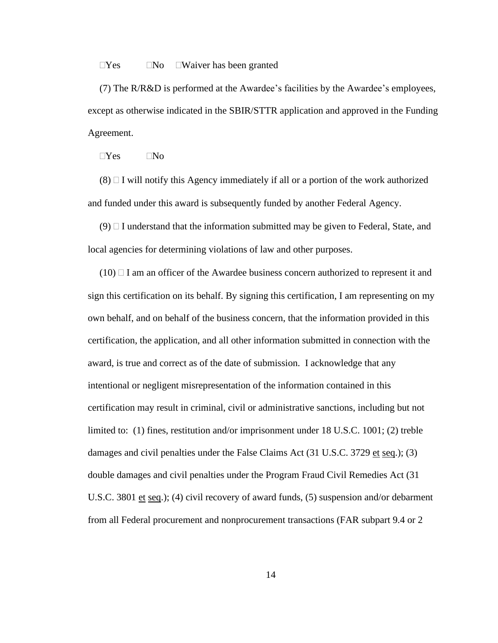#### $\Box$ Yes  $\Box$ No  $\Box$ Waiver has been granted

(7) The R/R&D is performed at the Awardee's facilities by the Awardee's employees, except as otherwise indicated in the SBIR/STTR application and approved in the Funding Agreement.

 $\Box$ Yes  $\Box$ No

 $(8)$  I will notify this Agency immediately if all or a portion of the work authorized and funded under this award is subsequently funded by another Federal Agency.

 $(9)$  I understand that the information submitted may be given to Federal, State, and local agencies for determining violations of law and other purposes.

 $(10)$   $\Box$  I am an officer of the Awardee business concern authorized to represent it and sign this certification on its behalf. By signing this certification, I am representing on my own behalf, and on behalf of the business concern, that the information provided in this certification, the application, and all other information submitted in connection with the award, is true and correct as of the date of submission. I acknowledge that any intentional or negligent misrepresentation of the information contained in this certification may result in criminal, civil or administrative sanctions, including but not limited to: (1) fines, restitution and/or imprisonment under 18 U.S.C. 1001; (2) treble damages and civil penalties under the False Claims Act (31 U.S.C. 3729 et seq.); (3) double damages and civil penalties under the Program Fraud Civil Remedies Act (31 U.S.C. 3801 et seq.); (4) civil recovery of award funds, (5) suspension and/or debarment from all Federal procurement and nonprocurement transactions (FAR subpart 9.4 or 2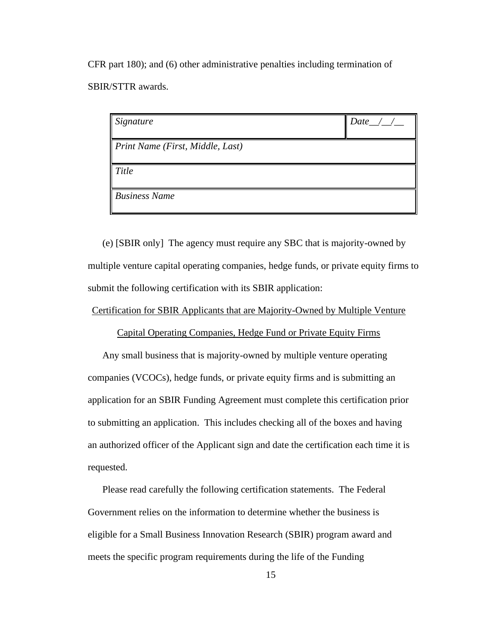CFR part 180); and (6) other administrative penalties including termination of SBIR/STTR awards.

| $\int$ Signature                 | Date $\_\angle$ |
|----------------------------------|-----------------|
| Print Name (First, Middle, Last) |                 |
| <b>Title</b>                     |                 |
| <b>Business Name</b>             |                 |

(e) [SBIR only] The agency must require any SBC that is majority-owned by multiple venture capital operating companies, hedge funds, or private equity firms to submit the following certification with its SBIR application:

#### Certification for SBIR Applicants that are Majority-Owned by Multiple Venture

Capital Operating Companies, Hedge Fund or Private Equity Firms

Any small business that is majority-owned by multiple venture operating companies (VCOCs), hedge funds, or private equity firms and is submitting an application for an SBIR Funding Agreement must complete this certification prior to submitting an application. This includes checking all of the boxes and having an authorized officer of the Applicant sign and date the certification each time it is requested.

Please read carefully the following certification statements. The Federal Government relies on the information to determine whether the business is eligible for a Small Business Innovation Research (SBIR) program award and meets the specific program requirements during the life of the Funding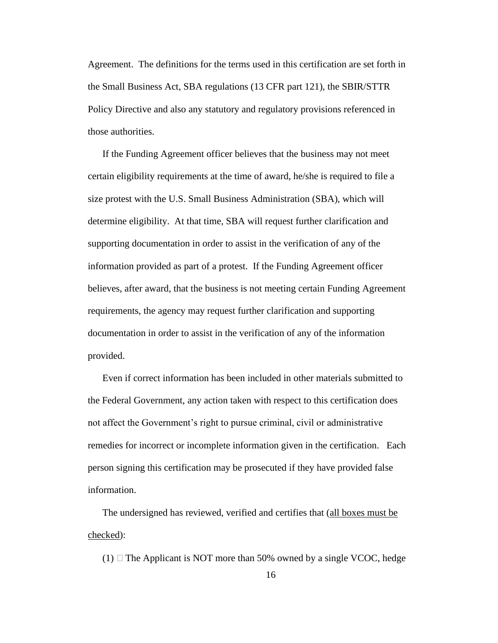Agreement. The definitions for the terms used in this certification are set forth in the Small Business Act, SBA regulations (13 CFR part 121), the SBIR/STTR Policy Directive and also any statutory and regulatory provisions referenced in those authorities.

If the Funding Agreement officer believes that the business may not meet certain eligibility requirements at the time of award, he/she is required to file a size protest with the U.S. Small Business Administration (SBA), which will determine eligibility. At that time, SBA will request further clarification and supporting documentation in order to assist in the verification of any of the information provided as part of a protest. If the Funding Agreement officer believes, after award, that the business is not meeting certain Funding Agreement requirements, the agency may request further clarification and supporting documentation in order to assist in the verification of any of the information provided.

Even if correct information has been included in other materials submitted to the Federal Government, any action taken with respect to this certification does not affect the Government's right to pursue criminal, civil or administrative remedies for incorrect or incomplete information given in the certification. Each person signing this certification may be prosecuted if they have provided false information.

The undersigned has reviewed, verified and certifies that (all boxes must be checked):

(1)  $\Box$  The Applicant is NOT more than 50% owned by a single VCOC, hedge

16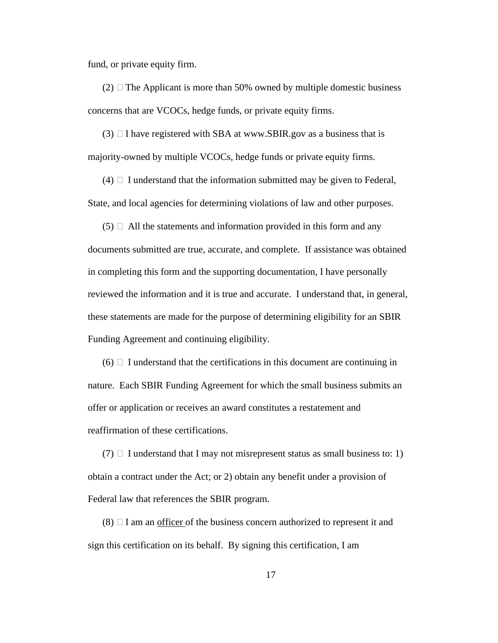fund, or private equity firm.

 $(2)$   $\Box$  The Applicant is more than 50% owned by multiple domestic business concerns that are VCOCs, hedge funds, or private equity firms.

(3)  $\Box$  I have registered with SBA at www.SBIR.gov as a business that is majority-owned by multiple VCOCs, hedge funds or private equity firms.

 $(4)$   $\Box$  I understand that the information submitted may be given to Federal, State, and local agencies for determining violations of law and other purposes.

 $(5)$   $\Box$  All the statements and information provided in this form and any documents submitted are true, accurate, and complete. If assistance was obtained in completing this form and the supporting documentation, I have personally reviewed the information and it is true and accurate. I understand that, in general, these statements are made for the purpose of determining eligibility for an SBIR Funding Agreement and continuing eligibility.

 $(6)$  I understand that the certifications in this document are continuing in nature. Each SBIR Funding Agreement for which the small business submits an offer or application or receives an award constitutes a restatement and reaffirmation of these certifications.

 $(7)$  I understand that I may not misrepresent status as small business to: 1) obtain a contract under the Act; or 2) obtain any benefit under a provision of Federal law that references the SBIR program.

 $(8)$   $\Box$  I am an <u>officer</u> of the business concern authorized to represent it and sign this certification on its behalf. By signing this certification, I am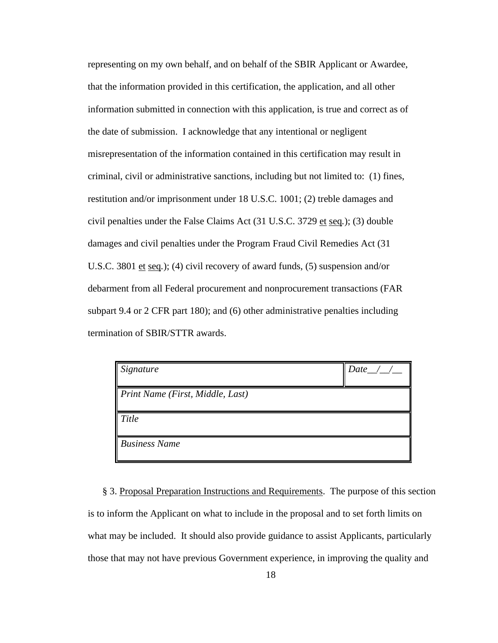representing on my own behalf, and on behalf of the SBIR Applicant or Awardee, that the information provided in this certification, the application, and all other information submitted in connection with this application, is true and correct as of the date of submission. I acknowledge that any intentional or negligent misrepresentation of the information contained in this certification may result in criminal, civil or administrative sanctions, including but not limited to: (1) fines, restitution and/or imprisonment under 18 U.S.C. 1001; (2) treble damages and civil penalties under the False Claims Act (31 U.S.C. 3729 et seq*.*); (3) double damages and civil penalties under the Program Fraud Civil Remedies Act (31 U.S.C. 3801 et seq*.*); (4) civil recovery of award funds, (5) suspension and/or debarment from all Federal procurement and nonprocurement transactions (FAR subpart 9.4 or 2 CFR part 180); and (6) other administrative penalties including termination of SBIR/STTR awards.

| $\mid$ Signature                             | $Data\_ / /$ |
|----------------------------------------------|--------------|
| $\parallel$ Print Name (First, Middle, Last) |              |
| Title                                        |              |
| <b>Business Name</b>                         |              |

§ 3. Proposal Preparation Instructions and Requirements. The purpose of this section is to inform the Applicant on what to include in the proposal and to set forth limits on what may be included. It should also provide guidance to assist Applicants, particularly those that may not have previous Government experience, in improving the quality and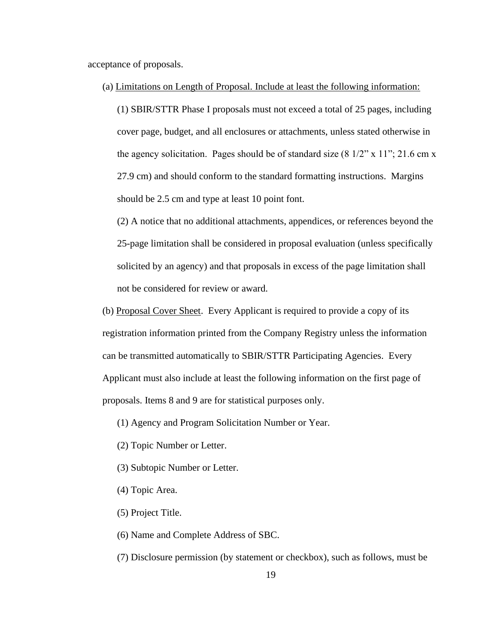acceptance of proposals.

(a) Limitations on Length of Proposal. Include at least the following information:

(1) SBIR/STTR Phase I proposals must not exceed a total of 25 pages, including cover page, budget, and all enclosures or attachments, unless stated otherwise in the agency solicitation. Pages should be of standard size  $(8\frac{1}{2}$ " x  $11$ "; 21.6 cm x 27.9 cm) and should conform to the standard formatting instructions. Margins should be 2.5 cm and type at least 10 point font.

(2) A notice that no additional attachments, appendices, or references beyond the 25-page limitation shall be considered in proposal evaluation (unless specifically solicited by an agency) and that proposals in excess of the page limitation shall not be considered for review or award.

- (b) Proposal Cover Sheet. Every Applicant is required to provide a copy of its registration information printed from the Company Registry unless the information can be transmitted automatically to SBIR/STTR Participating Agencies. Every Applicant must also include at least the following information on the first page of proposals. Items 8 and 9 are for statistical purposes only.
	- (1) Agency and Program Solicitation Number or Year.
	- (2) Topic Number or Letter.
	- (3) Subtopic Number or Letter.
	- (4) Topic Area.
	- (5) Project Title.
	- (6) Name and Complete Address of SBC.
	- (7) Disclosure permission (by statement or checkbox), such as follows, must be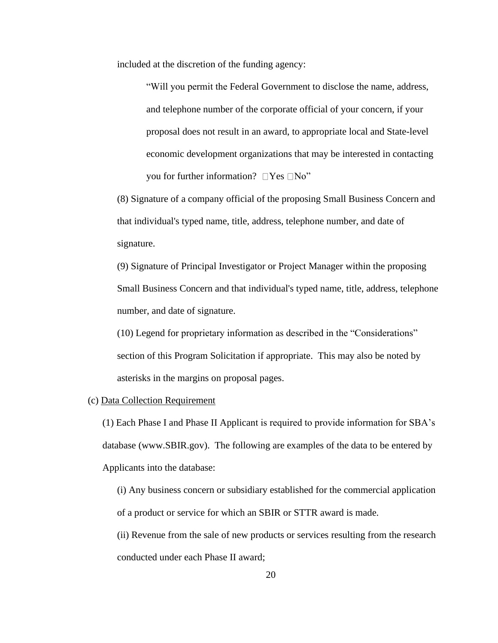included at the discretion of the funding agency:

"Will you permit the Federal Government to disclose the name, address, and telephone number of the corporate official of your concern, if your proposal does not result in an award, to appropriate local and State-level economic development organizations that may be interested in contacting you for further information?  $\Box$  Yes  $\Box$  No"

(8) Signature of a company official of the proposing Small Business Concern and that individual's typed name, title, address, telephone number, and date of signature.

(9) Signature of Principal Investigator or Project Manager within the proposing Small Business Concern and that individual's typed name, title, address, telephone number, and date of signature.

(10) Legend for proprietary information as described in the "Considerations" section of this Program Solicitation if appropriate. This may also be noted by asterisks in the margins on proposal pages.

#### (c) Data Collection Requirement

(1) Each Phase I and Phase II Applicant is required to provide information for SBA's database (www.SBIR.gov). The following are examples of the data to be entered by Applicants into the database:

(i) Any business concern or subsidiary established for the commercial application of a product or service for which an SBIR or STTR award is made.

(ii) Revenue from the sale of new products or services resulting from the research conducted under each Phase II award;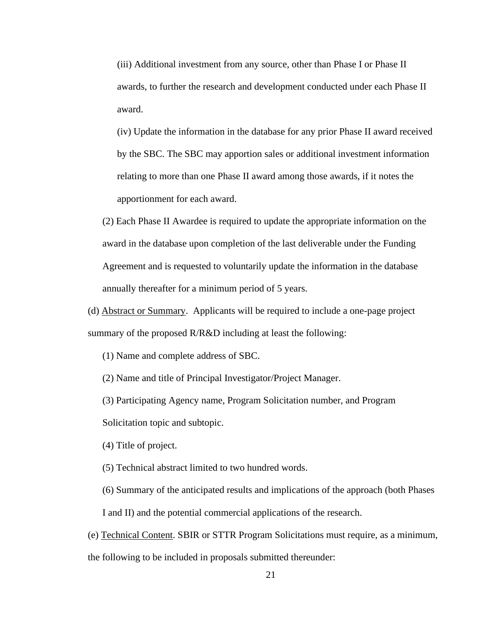(iii) Additional investment from any source, other than Phase I or Phase II awards, to further the research and development conducted under each Phase II award.

(iv) Update the information in the database for any prior Phase II award received by the SBC. The SBC may apportion sales or additional investment information relating to more than one Phase II award among those awards, if it notes the apportionment for each award.

(2) Each Phase II Awardee is required to update the appropriate information on the award in the database upon completion of the last deliverable under the Funding Agreement and is requested to voluntarily update the information in the database annually thereafter for a minimum period of 5 years.

(d) Abstract or Summary. Applicants will be required to include a one-page project summary of the proposed  $R/R&D$  including at least the following:

(1) Name and complete address of SBC.

(2) Name and title of Principal Investigator/Project Manager.

(3) Participating Agency name, Program Solicitation number, and Program

Solicitation topic and subtopic.

(4) Title of project.

(5) Technical abstract limited to two hundred words.

(6) Summary of the anticipated results and implications of the approach (both Phases I and II) and the potential commercial applications of the research.

(e) Technical Content. SBIR or STTR Program Solicitations must require, as a minimum, the following to be included in proposals submitted thereunder: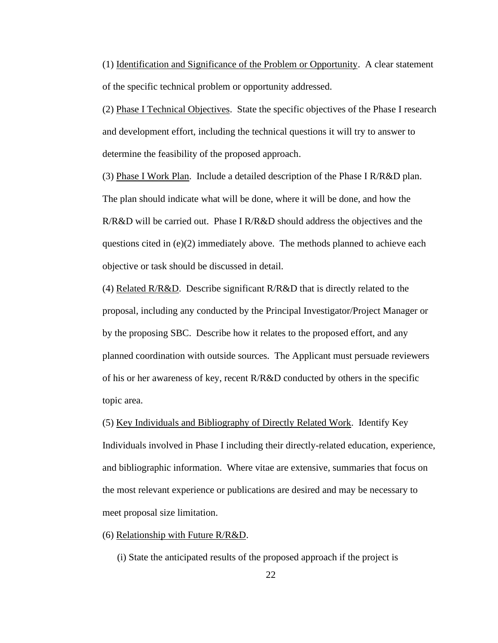(1) Identification and Significance of the Problem or Opportunity. A clear statement of the specific technical problem or opportunity addressed.

(2) Phase I Technical Objectives. State the specific objectives of the Phase I research and development effort, including the technical questions it will try to answer to determine the feasibility of the proposed approach.

(3) Phase I Work Plan. Include a detailed description of the Phase I R/R&D plan. The plan should indicate what will be done, where it will be done, and how the R/R&D will be carried out. Phase I R/R&D should address the objectives and the questions cited in  $(e)(2)$  immediately above. The methods planned to achieve each objective or task should be discussed in detail.

(4) Related  $R/R&D$ . Describe significant  $R/R&D$  that is directly related to the proposal, including any conducted by the Principal Investigator/Project Manager or by the proposing SBC. Describe how it relates to the proposed effort, and any planned coordination with outside sources. The Applicant must persuade reviewers of his or her awareness of key, recent R/R&D conducted by others in the specific topic area.

(5) Key Individuals and Bibliography of Directly Related Work. Identify Key Individuals involved in Phase I including their directly-related education, experience, and bibliographic information. Where vitae are extensive, summaries that focus on the most relevant experience or publications are desired and may be necessary to meet proposal size limitation.

(6) Relationship with Future R/R&D.

(i) State the anticipated results of the proposed approach if the project is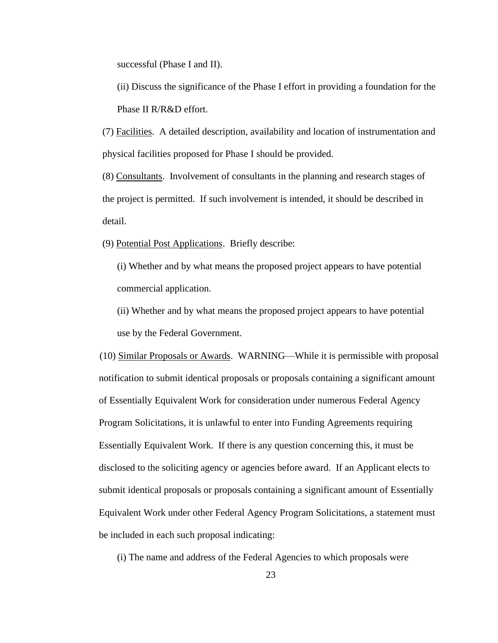successful (Phase I and II).

(ii) Discuss the significance of the Phase I effort in providing a foundation for the Phase II R/R&D effort.

(7) Facilities. A detailed description, availability and location of instrumentation and physical facilities proposed for Phase I should be provided.

(8) Consultants. Involvement of consultants in the planning and research stages of the project is permitted. If such involvement is intended, it should be described in detail.

(9) Potential Post Applications. Briefly describe:

(i) Whether and by what means the proposed project appears to have potential commercial application.

(ii) Whether and by what means the proposed project appears to have potential use by the Federal Government.

(10) Similar Proposals or Awards. WARNING—While it is permissible with proposal notification to submit identical proposals or proposals containing a significant amount of Essentially Equivalent Work for consideration under numerous Federal Agency Program Solicitations, it is unlawful to enter into Funding Agreements requiring Essentially Equivalent Work. If there is any question concerning this, it must be disclosed to the soliciting agency or agencies before award. If an Applicant elects to submit identical proposals or proposals containing a significant amount of Essentially Equivalent Work under other Federal Agency Program Solicitations, a statement must be included in each such proposal indicating:

(i) The name and address of the Federal Agencies to which proposals were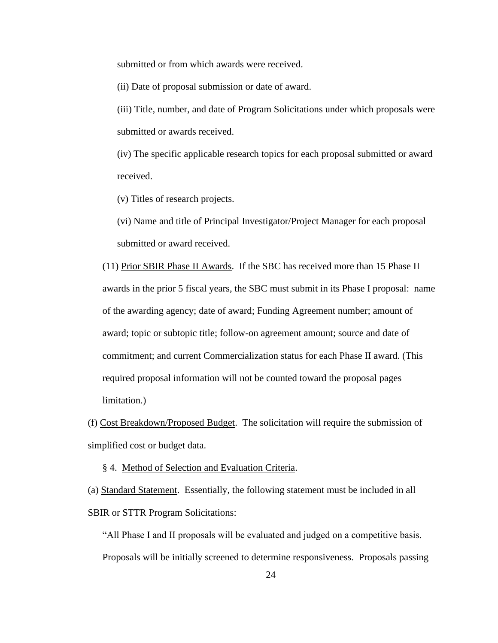submitted or from which awards were received.

(ii) Date of proposal submission or date of award.

(iii) Title, number, and date of Program Solicitations under which proposals were submitted or awards received.

(iv) The specific applicable research topics for each proposal submitted or award received.

(v) Titles of research projects.

(vi) Name and title of Principal Investigator/Project Manager for each proposal submitted or award received.

(11) Prior SBIR Phase II Awards. If the SBC has received more than 15 Phase II awards in the prior 5 fiscal years, the SBC must submit in its Phase I proposal: name of the awarding agency; date of award; Funding Agreement number; amount of award; topic or subtopic title; follow-on agreement amount; source and date of commitment; and current Commercialization status for each Phase II award. (This required proposal information will not be counted toward the proposal pages limitation.)

(f) Cost Breakdown/Proposed Budget. The solicitation will require the submission of simplified cost or budget data.

§ 4. Method of Selection and Evaluation Criteria.

(a) Standard Statement. Essentially, the following statement must be included in all SBIR or STTR Program Solicitations:

"All Phase I and II proposals will be evaluated and judged on a competitive basis. Proposals will be initially screened to determine responsiveness. Proposals passing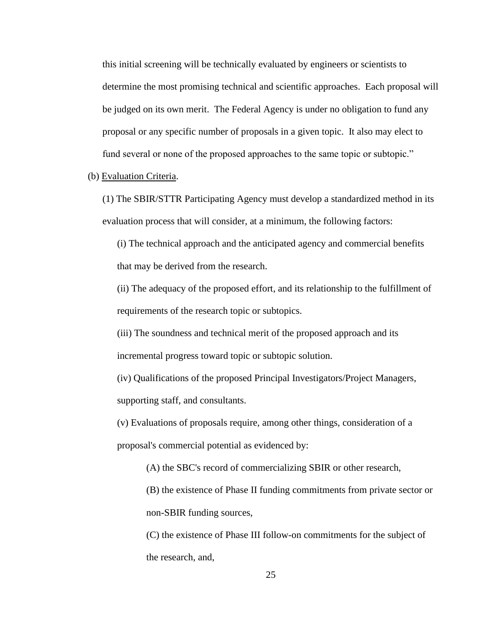this initial screening will be technically evaluated by engineers or scientists to determine the most promising technical and scientific approaches. Each proposal will be judged on its own merit. The Federal Agency is under no obligation to fund any proposal or any specific number of proposals in a given topic. It also may elect to fund several or none of the proposed approaches to the same topic or subtopic."

(b) Evaluation Criteria.

(1) The SBIR/STTR Participating Agency must develop a standardized method in its evaluation process that will consider, at a minimum, the following factors:

(i) The technical approach and the anticipated agency and commercial benefits that may be derived from the research.

(ii) The adequacy of the proposed effort, and its relationship to the fulfillment of requirements of the research topic or subtopics.

(iii) The soundness and technical merit of the proposed approach and its incremental progress toward topic or subtopic solution.

(iv) Qualifications of the proposed Principal Investigators/Project Managers, supporting staff, and consultants.

(v) Evaluations of proposals require, among other things, consideration of a proposal's commercial potential as evidenced by:

(A) the SBC's record of commercializing SBIR or other research,

(B) the existence of Phase II funding commitments from private sector or non-SBIR funding sources,

(C) the existence of Phase III follow-on commitments for the subject of the research, and,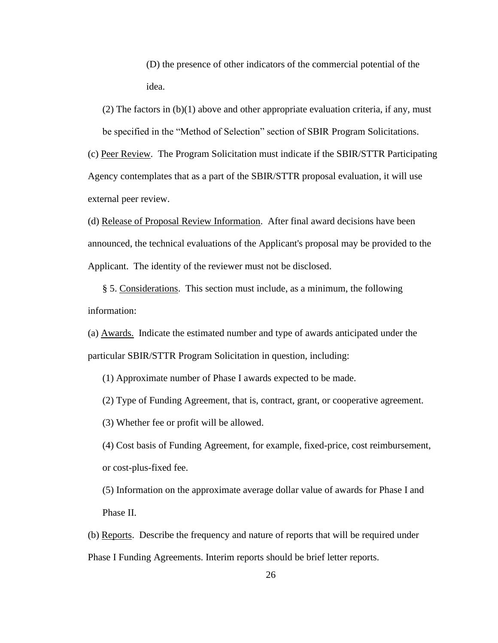(D) the presence of other indicators of the commercial potential of the idea.

 $(2)$  The factors in  $(b)(1)$  above and other appropriate evaluation criteria, if any, must be specified in the "Method of Selection" section of SBIR Program Solicitations.

(c) Peer Review. The Program Solicitation must indicate if the SBIR/STTR Participating Agency contemplates that as a part of the SBIR/STTR proposal evaluation, it will use external peer review.

(d) Release of Proposal Review Information. After final award decisions have been announced, the technical evaluations of the Applicant's proposal may be provided to the Applicant. The identity of the reviewer must not be disclosed.

§ 5. Considerations. This section must include, as a minimum, the following information:

(a) Awards. Indicate the estimated number and type of awards anticipated under the particular SBIR/STTR Program Solicitation in question, including:

(1) Approximate number of Phase I awards expected to be made.

(2) Type of Funding Agreement, that is, contract, grant, or cooperative agreement.

(3) Whether fee or profit will be allowed.

(4) Cost basis of Funding Agreement, for example, fixed-price, cost reimbursement, or cost-plus-fixed fee.

(5) Information on the approximate average dollar value of awards for Phase I and Phase II.

(b) Reports. Describe the frequency and nature of reports that will be required under Phase I Funding Agreements. Interim reports should be brief letter reports.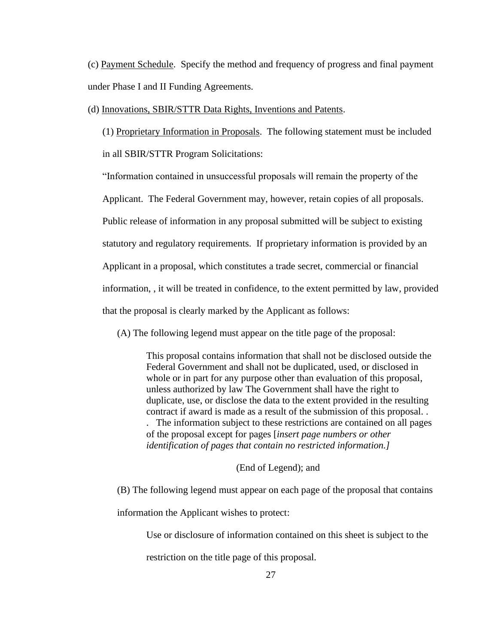(c) Payment Schedule. Specify the method and frequency of progress and final payment under Phase I and II Funding Agreements.

(d) Innovations, SBIR/STTR Data Rights, Inventions and Patents.

(1) Proprietary Information in Proposals. The following statement must be included in all SBIR/STTR Program Solicitations:

"Information contained in unsuccessful proposals will remain the property of the

Applicant. The Federal Government may, however, retain copies of all proposals.

Public release of information in any proposal submitted will be subject to existing

statutory and regulatory requirements. If proprietary information is provided by an

Applicant in a proposal, which constitutes a trade secret, commercial or financial

information, , it will be treated in confidence, to the extent permitted by law, provided

that the proposal is clearly marked by the Applicant as follows:

(A) The following legend must appear on the title page of the proposal:

This proposal contains information that shall not be disclosed outside the Federal Government and shall not be duplicated, used, or disclosed in whole or in part for any purpose other than evaluation of this proposal, unless authorized by law The Government shall have the right to duplicate, use, or disclose the data to the extent provided in the resulting contract if award is made as a result of the submission of this proposal. . . The information subject to these restrictions are contained on all pages of the proposal except for pages [*insert page numbers or other identification of pages that contain no restricted information.]*

(End of Legend); and

(B) The following legend must appear on each page of the proposal that contains

information the Applicant wishes to protect:

Use or disclosure of information contained on this sheet is subject to the

restriction on the title page of this proposal.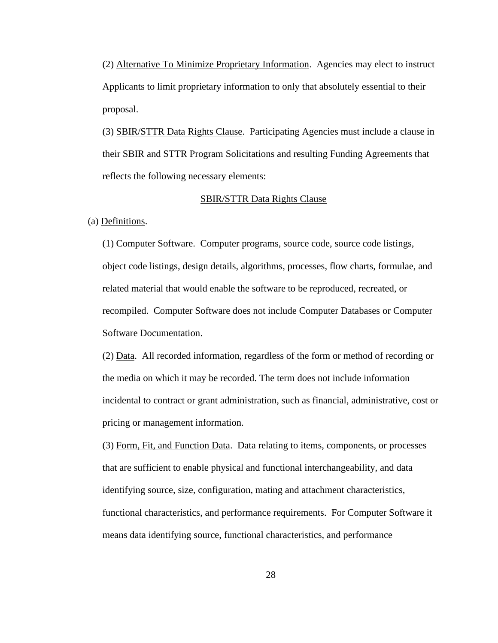(2) Alternative To Minimize Proprietary Information. Agencies may elect to instruct Applicants to limit proprietary information to only that absolutely essential to their proposal.

(3) SBIR/STTR Data Rights Clause. Participating Agencies must include a clause in their SBIR and STTR Program Solicitations and resulting Funding Agreements that reflects the following necessary elements:

#### SBIR/STTR Data Rights Clause

(a) Definitions.

(1) Computer Software. Computer programs, source code, source code listings, object code listings, design details, algorithms, processes, flow charts, formulae, and related material that would enable the software to be reproduced, recreated, or recompiled. Computer Software does not include Computer Databases or Computer Software Documentation.

(2) Data. All recorded information, regardless of the form or method of recording or the media on which it may be recorded. The term does not include information incidental to contract or grant administration, such as financial, administrative, cost or pricing or management information.

(3) Form, Fit, and Function Data. Data relating to items, components, or processes that are sufficient to enable physical and functional interchangeability, and data identifying source, size, configuration, mating and attachment characteristics, functional characteristics, and performance requirements. For Computer Software it means data identifying source, functional characteristics, and performance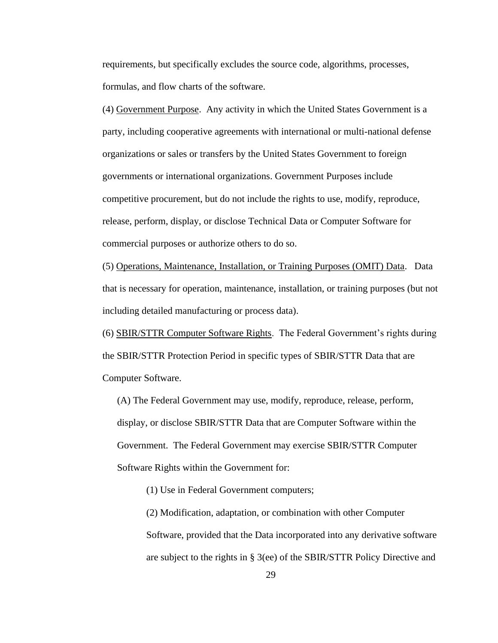requirements, but specifically excludes the source code, algorithms, processes, formulas, and flow charts of the software.

(4) Government Purpose. Any activity in which the United States Government is a party, including cooperative agreements with international or multi-national defense organizations or sales or transfers by the United States Government to foreign governments or international organizations. Government Purposes include competitive procurement, but do not include the rights to use, modify, reproduce, release, perform, display, or disclose Technical Data or Computer Software for commercial purposes or authorize others to do so.

(5) Operations, Maintenance, Installation, or Training Purposes (OMIT) Data. Data that is necessary for operation, maintenance, installation, or training purposes (but not including detailed manufacturing or process data).

(6) SBIR/STTR Computer Software Rights. The Federal Government's rights during the SBIR/STTR Protection Period in specific types of SBIR/STTR Data that are Computer Software.

(A) The Federal Government may use, modify, reproduce, release, perform, display, or disclose SBIR/STTR Data that are Computer Software within the Government. The Federal Government may exercise SBIR/STTR Computer Software Rights within the Government for:

(1) Use in Federal Government computers;

(2) Modification, adaptation, or combination with other Computer Software, provided that the Data incorporated into any derivative software are subject to the rights in § 3(ee) of the SBIR/STTR Policy Directive and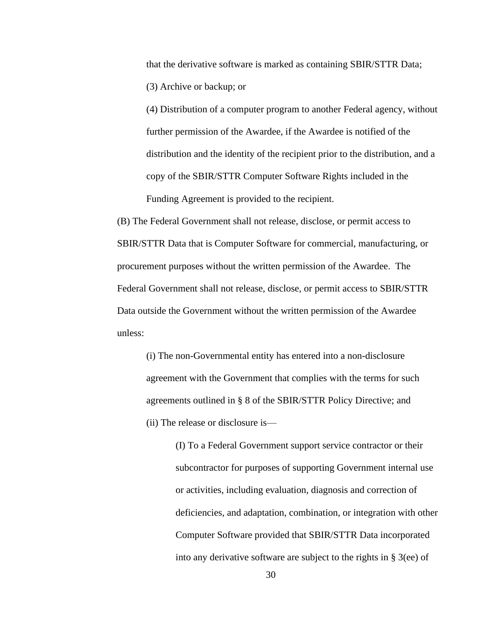that the derivative software is marked as containing SBIR/STTR Data; (3) Archive or backup; or

(4) Distribution of a computer program to another Federal agency, without further permission of the Awardee, if the Awardee is notified of the distribution and the identity of the recipient prior to the distribution, and a copy of the SBIR/STTR Computer Software Rights included in the Funding Agreement is provided to the recipient.

(B) The Federal Government shall not release, disclose, or permit access to SBIR/STTR Data that is Computer Software for commercial, manufacturing, or procurement purposes without the written permission of the Awardee. The Federal Government shall not release, disclose, or permit access to SBIR/STTR Data outside the Government without the written permission of the Awardee unless:

(i) The non-Governmental entity has entered into a non-disclosure agreement with the Government that complies with the terms for such agreements outlined in § 8 of the SBIR/STTR Policy Directive; and (ii) The release or disclosure is—

> (I) To a Federal Government support service contractor or their subcontractor for purposes of supporting Government internal use or activities, including evaluation, diagnosis and correction of deficiencies, and adaptation, combination, or integration with other Computer Software provided that SBIR/STTR Data incorporated into any derivative software are subject to the rights in § 3(ee) of

> > 30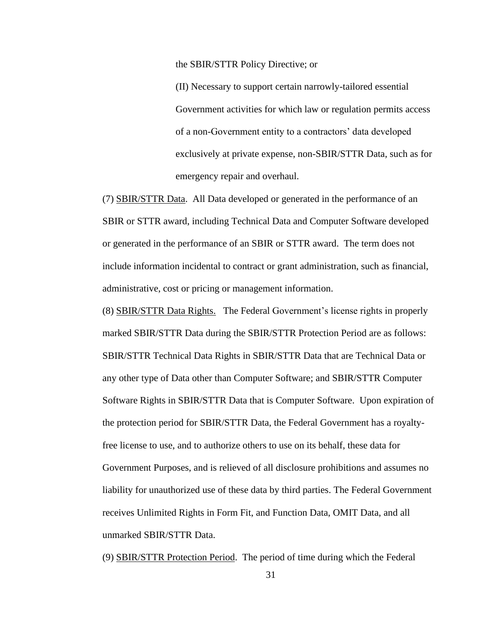the SBIR/STTR Policy Directive; or

(II) Necessary to support certain narrowly-tailored essential Government activities for which law or regulation permits access of a non-Government entity to a contractors' data developed exclusively at private expense, non-SBIR/STTR Data, such as for emergency repair and overhaul.

(7) SBIR/STTR Data. All Data developed or generated in the performance of an SBIR or STTR award, including Technical Data and Computer Software developed or generated in the performance of an SBIR or STTR award. The term does not include information incidental to contract or grant administration, such as financial, administrative, cost or pricing or management information.

(8) SBIR/STTR Data Rights. The Federal Government's license rights in properly marked SBIR/STTR Data during the SBIR/STTR Protection Period are as follows: SBIR/STTR Technical Data Rights in SBIR/STTR Data that are Technical Data or any other type of Data other than Computer Software; and SBIR/STTR Computer Software Rights in SBIR/STTR Data that is Computer Software. Upon expiration of the protection period for SBIR/STTR Data, the Federal Government has a royaltyfree license to use, and to authorize others to use on its behalf, these data for Government Purposes, and is relieved of all disclosure prohibitions and assumes no liability for unauthorized use of these data by third parties. The Federal Government receives Unlimited Rights in Form Fit, and Function Data, OMIT Data, and all unmarked SBIR/STTR Data.

(9) SBIR/STTR Protection Period. The period of time during which the Federal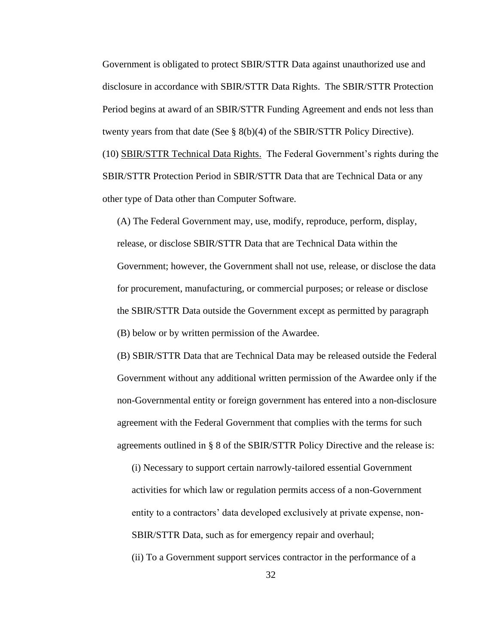Government is obligated to protect SBIR/STTR Data against unauthorized use and disclosure in accordance with SBIR/STTR Data Rights. The SBIR/STTR Protection Period begins at award of an SBIR/STTR Funding Agreement and ends not less than twenty years from that date (See § 8(b)(4) of the SBIR/STTR Policy Directive). (10) SBIR/STTR Technical Data Rights. The Federal Government's rights during the SBIR/STTR Protection Period in SBIR/STTR Data that are Technical Data or any other type of Data other than Computer Software.

(A) The Federal Government may, use, modify, reproduce, perform, display, release, or disclose SBIR/STTR Data that are Technical Data within the Government; however, the Government shall not use, release, or disclose the data for procurement, manufacturing, or commercial purposes; or release or disclose the SBIR/STTR Data outside the Government except as permitted by paragraph (B) below or by written permission of the Awardee.

(B) SBIR/STTR Data that are Technical Data may be released outside the Federal Government without any additional written permission of the Awardee only if the non-Governmental entity or foreign government has entered into a non-disclosure agreement with the Federal Government that complies with the terms for such agreements outlined in § 8 of the SBIR/STTR Policy Directive and the release is:

(i) Necessary to support certain narrowly-tailored essential Government activities for which law or regulation permits access of a non-Government entity to a contractors' data developed exclusively at private expense, non-SBIR/STTR Data, such as for emergency repair and overhaul;

(ii) To a Government support services contractor in the performance of a

32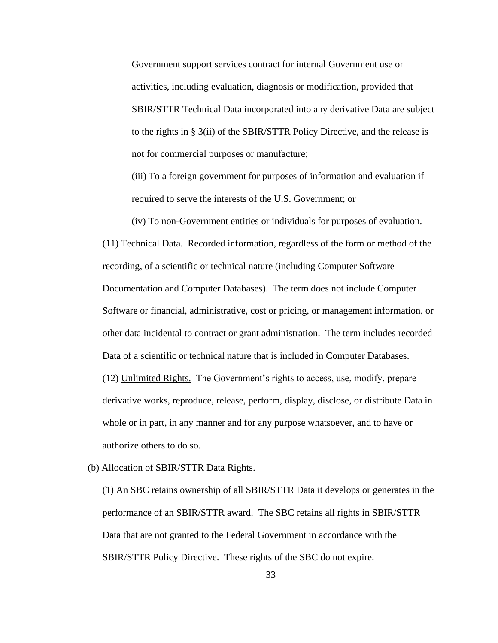Government support services contract for internal Government use or activities, including evaluation, diagnosis or modification, provided that SBIR/STTR Technical Data incorporated into any derivative Data are subject to the rights in § 3(ii) of the SBIR/STTR Policy Directive, and the release is not for commercial purposes or manufacture;

(iii) To a foreign government for purposes of information and evaluation if required to serve the interests of the U.S. Government; or

(iv) To non-Government entities or individuals for purposes of evaluation.

(11) Technical Data. Recorded information, regardless of the form or method of the recording, of a scientific or technical nature (including Computer Software Documentation and Computer Databases). The term does not include Computer Software or financial, administrative, cost or pricing, or management information, or other data incidental to contract or grant administration. The term includes recorded Data of a scientific or technical nature that is included in Computer Databases. (12) Unlimited Rights. The Government's rights to access, use, modify, prepare derivative works, reproduce, release, perform, display, disclose, or distribute Data in whole or in part, in any manner and for any purpose whatsoever, and to have or authorize others to do so.

#### (b) Allocation of SBIR/STTR Data Rights.

(1) An SBC retains ownership of all SBIR/STTR Data it develops or generates in the performance of an SBIR/STTR award. The SBC retains all rights in SBIR/STTR Data that are not granted to the Federal Government in accordance with the SBIR/STTR Policy Directive. These rights of the SBC do not expire.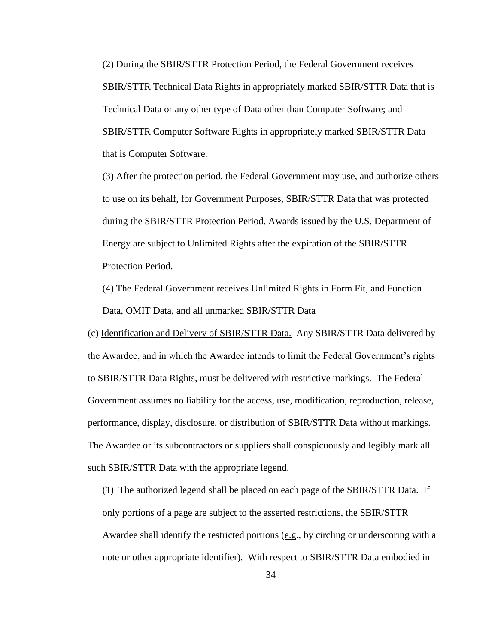(2) During the SBIR/STTR Protection Period, the Federal Government receives SBIR/STTR Technical Data Rights in appropriately marked SBIR/STTR Data that is Technical Data or any other type of Data other than Computer Software; and SBIR/STTR Computer Software Rights in appropriately marked SBIR/STTR Data that is Computer Software.

(3) After the protection period, the Federal Government may use, and authorize others to use on its behalf, for Government Purposes, SBIR/STTR Data that was protected during the SBIR/STTR Protection Period. Awards issued by the U.S. Department of Energy are subject to Unlimited Rights after the expiration of the SBIR/STTR Protection Period.

(4) The Federal Government receives Unlimited Rights in Form Fit, and Function Data, OMIT Data, and all unmarked SBIR/STTR Data

(c) Identification and Delivery of SBIR/STTR Data. Any SBIR/STTR Data delivered by the Awardee, and in which the Awardee intends to limit the Federal Government's rights to SBIR/STTR Data Rights, must be delivered with restrictive markings. The Federal Government assumes no liability for the access, use, modification, reproduction, release, performance, display, disclosure, or distribution of SBIR/STTR Data without markings. The Awardee or its subcontractors or suppliers shall conspicuously and legibly mark all such SBIR/STTR Data with the appropriate legend.

(1) The authorized legend shall be placed on each page of the SBIR/STTR Data. If only portions of a page are subject to the asserted restrictions, the SBIR/STTR Awardee shall identify the restricted portions  $(e.g., by circling or underscoring with a$ note or other appropriate identifier). With respect to SBIR/STTR Data embodied in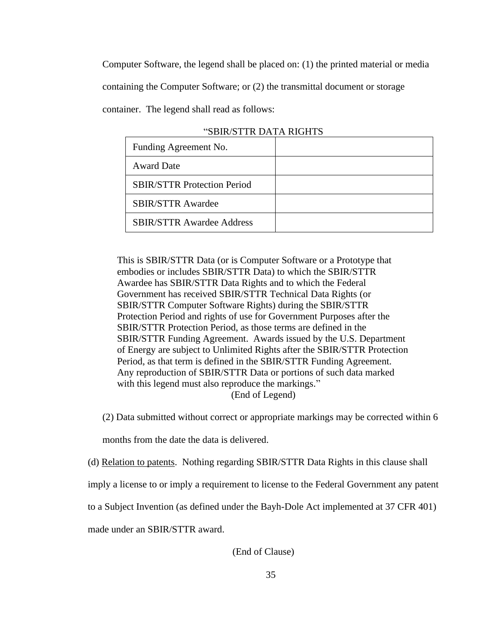Computer Software, the legend shall be placed on: (1) the printed material or media

containing the Computer Software; or (2) the transmittal document or storage

container. The legend shall read as follows:

| Funding Agreement No.              |  |
|------------------------------------|--|
| <b>Award Date</b>                  |  |
| <b>SBIR/STTR Protection Period</b> |  |
| <b>SBIR/STTR Awardee</b>           |  |
| <b>SBIR/STTR Awardee Address</b>   |  |

This is SBIR/STTR Data (or is Computer Software or a Prototype that embodies or includes SBIR/STTR Data) to which the SBIR/STTR Awardee has SBIR/STTR Data Rights and to which the Federal Government has received SBIR/STTR Technical Data Rights (or SBIR/STTR Computer Software Rights) during the SBIR/STTR Protection Period and rights of use for Government Purposes after the SBIR/STTR Protection Period, as those terms are defined in the SBIR/STTR Funding Agreement. Awards issued by the U.S. Department of Energy are subject to Unlimited Rights after the SBIR/STTR Protection Period, as that term is defined in the SBIR/STTR Funding Agreement. Any reproduction of SBIR/STTR Data or portions of such data marked with this legend must also reproduce the markings." (End of Legend)

(2) Data submitted without correct or appropriate markings may be corrected within 6

months from the date the data is delivered.

(d) Relation to patents. Nothing regarding SBIR/STTR Data Rights in this clause shall

imply a license to or imply a requirement to license to the Federal Government any patent

to a Subject Invention (as defined under the Bayh-Dole Act implemented at 37 CFR 401)

made under an SBIR/STTR award.

(End of Clause)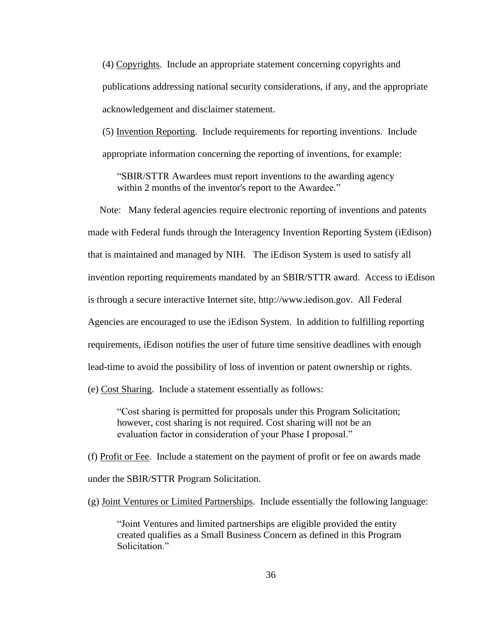(4) Copyrights. Include an appropriate statement concerning copyrights and publications addressing national security considerations, if any, and the appropriate acknowledgement and disclaimer statement.

(5) Invention Reporting. Include requirements for reporting inventions. Include appropriate information concerning the reporting of inventions, for example:

"SBIR/STTR Awardees must report inventions to the awarding agency within 2 months of the inventor's report to the Awardee."

Note: Many federal agencies require electronic reporting of inventions and patents made with Federal funds through the Interagency Invention Reporting System (iEdison) that is maintained and managed by NIH. The iEdison System is used to satisfy all invention reporting requirements mandated by an SBIR/STTR award. Access to iEdison is through a secure interactive Internet site, http://www.iedison.gov. All Federal Agencies are encouraged to use the iEdison System. In addition to fulfilling reporting requirements, iEdison notifies the user of future time sensitive deadlines with enough lead-time to avoid the possibility of loss of invention or patent ownership or rights.

(e) Cost Sharing. Include a statement essentially as follows:

"Cost sharing is permitted for proposals under this Program Solicitation; however, cost sharing is not required. Cost sharing will not be an evaluation factor in consideration of your Phase I proposal."

(f) Profit or Fee. Include a statement on the payment of profit or fee on awards made under the SBIR/STTR Program Solicitation.

(g) Joint Ventures or Limited Partnerships. Include essentially the following language:

"Joint Ventures and limited partnerships are eligible provided the entity created qualifies as a Small Business Concern as defined in this Program Solicitation."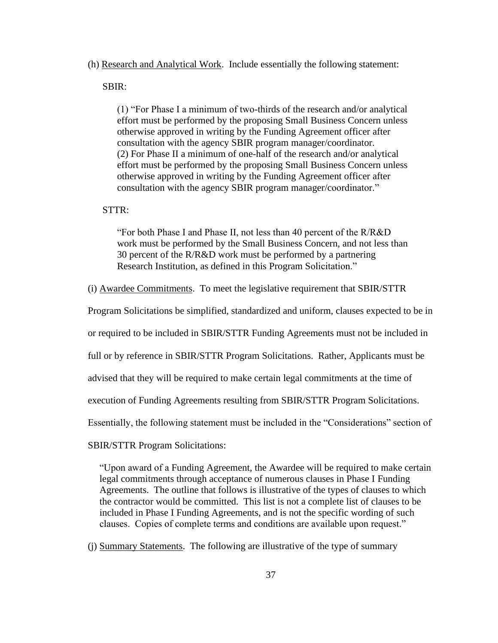#### (h) Research and Analytical Work. Include essentially the following statement:

#### SBIR:

(1) "For Phase I a minimum of two-thirds of the research and/or analytical effort must be performed by the proposing Small Business Concern unless otherwise approved in writing by the Funding Agreement officer after consultation with the agency SBIR program manager/coordinator. (2) For Phase II a minimum of one-half of the research and/or analytical effort must be performed by the proposing Small Business Concern unless otherwise approved in writing by the Funding Agreement officer after consultation with the agency SBIR program manager/coordinator."

#### STTR:

"For both Phase I and Phase II, not less than 40 percent of the R/R&D work must be performed by the Small Business Concern, and not less than 30 percent of the R/R&D work must be performed by a partnering Research Institution, as defined in this Program Solicitation."

(i) Awardee Commitments. To meet the legislative requirement that SBIR/STTR

Program Solicitations be simplified, standardized and uniform, clauses expected to be in

or required to be included in SBIR/STTR Funding Agreements must not be included in

full or by reference in SBIR/STTR Program Solicitations. Rather, Applicants must be

advised that they will be required to make certain legal commitments at the time of

execution of Funding Agreements resulting from SBIR/STTR Program Solicitations.

Essentially, the following statement must be included in the "Considerations" section of

SBIR/STTR Program Solicitations:

"Upon award of a Funding Agreement, the Awardee will be required to make certain legal commitments through acceptance of numerous clauses in Phase I Funding Agreements. The outline that follows is illustrative of the types of clauses to which the contractor would be committed. This list is not a complete list of clauses to be included in Phase I Funding Agreements, and is not the specific wording of such clauses. Copies of complete terms and conditions are available upon request."

(j) Summary Statements. The following are illustrative of the type of summary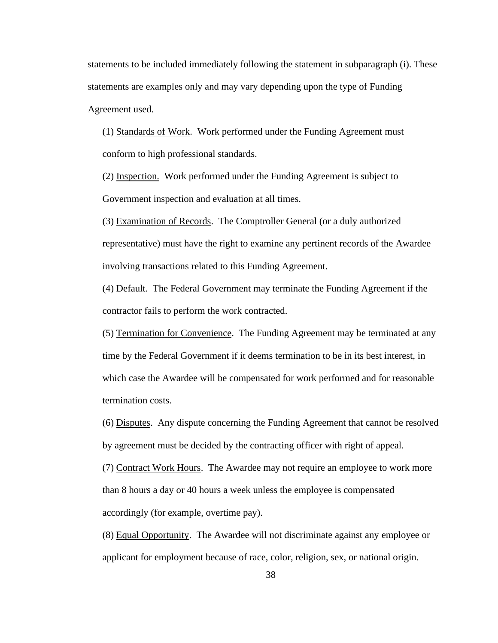statements to be included immediately following the statement in subparagraph (i). These statements are examples only and may vary depending upon the type of Funding Agreement used.

(1) Standards of Work. Work performed under the Funding Agreement must conform to high professional standards.

(2) Inspection. Work performed under the Funding Agreement is subject to Government inspection and evaluation at all times.

(3) Examination of Records. The Comptroller General (or a duly authorized representative) must have the right to examine any pertinent records of the Awardee involving transactions related to this Funding Agreement.

(4) Default. The Federal Government may terminate the Funding Agreement if the contractor fails to perform the work contracted.

(5) Termination for Convenience. The Funding Agreement may be terminated at any time by the Federal Government if it deems termination to be in its best interest, in which case the Awardee will be compensated for work performed and for reasonable termination costs.

(6) Disputes. Any dispute concerning the Funding Agreement that cannot be resolved by agreement must be decided by the contracting officer with right of appeal.

(7) Contract Work Hours. The Awardee may not require an employee to work more than 8 hours a day or 40 hours a week unless the employee is compensated accordingly (for example, overtime pay).

(8) Equal Opportunity. The Awardee will not discriminate against any employee or applicant for employment because of race, color, religion, sex, or national origin.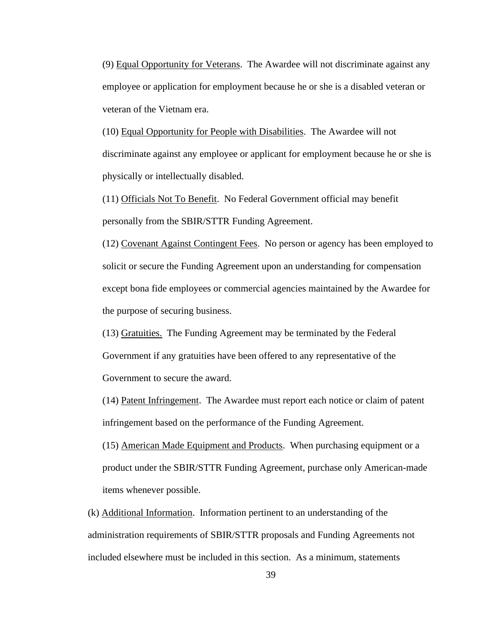(9) Equal Opportunity for Veterans. The Awardee will not discriminate against any employee or application for employment because he or she is a disabled veteran or veteran of the Vietnam era.

(10) Equal Opportunity for People with Disabilities. The Awardee will not discriminate against any employee or applicant for employment because he or she is physically or intellectually disabled.

(11) Officials Not To Benefit. No Federal Government official may benefit personally from the SBIR/STTR Funding Agreement.

(12) Covenant Against Contingent Fees. No person or agency has been employed to solicit or secure the Funding Agreement upon an understanding for compensation except bona fide employees or commercial agencies maintained by the Awardee for the purpose of securing business.

(13) Gratuities. The Funding Agreement may be terminated by the Federal Government if any gratuities have been offered to any representative of the Government to secure the award.

(14) Patent Infringement. The Awardee must report each notice or claim of patent infringement based on the performance of the Funding Agreement.

(15) American Made Equipment and Products. When purchasing equipment or a product under the SBIR/STTR Funding Agreement, purchase only American-made items whenever possible.

(k) Additional Information. Information pertinent to an understanding of the administration requirements of SBIR/STTR proposals and Funding Agreements not included elsewhere must be included in this section. As a minimum, statements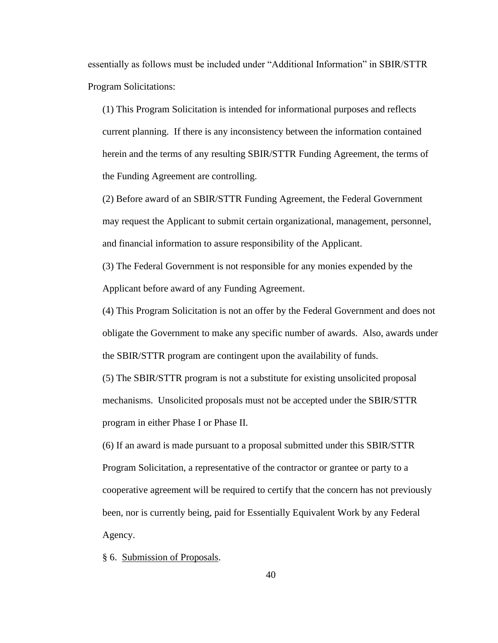essentially as follows must be included under "Additional Information" in SBIR/STTR Program Solicitations:

(1) This Program Solicitation is intended for informational purposes and reflects current planning. If there is any inconsistency between the information contained herein and the terms of any resulting SBIR/STTR Funding Agreement, the terms of the Funding Agreement are controlling.

(2) Before award of an SBIR/STTR Funding Agreement, the Federal Government may request the Applicant to submit certain organizational, management, personnel, and financial information to assure responsibility of the Applicant.

(3) The Federal Government is not responsible for any monies expended by the Applicant before award of any Funding Agreement.

(4) This Program Solicitation is not an offer by the Federal Government and does not obligate the Government to make any specific number of awards. Also, awards under the SBIR/STTR program are contingent upon the availability of funds.

(5) The SBIR/STTR program is not a substitute for existing unsolicited proposal mechanisms. Unsolicited proposals must not be accepted under the SBIR/STTR program in either Phase I or Phase II.

(6) If an award is made pursuant to a proposal submitted under this SBIR/STTR Program Solicitation, a representative of the contractor or grantee or party to a cooperative agreement will be required to certify that the concern has not previously been, nor is currently being, paid for Essentially Equivalent Work by any Federal Agency.

§ 6. Submission of Proposals.